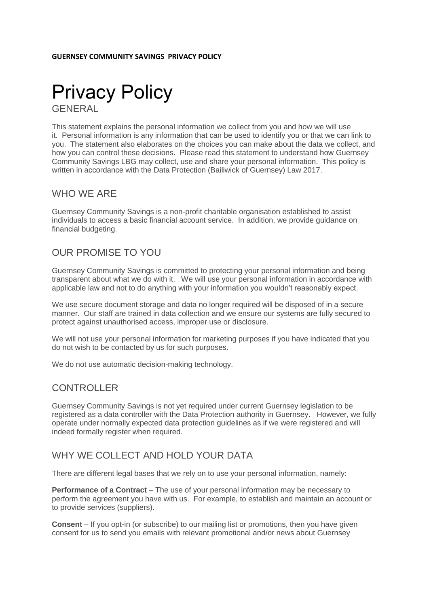

This statement explains the personal information we collect from you and how we will use it. Personal information is any information that can be used to identify you or that we can link to you. The statement also elaborates on the choices you can make about the data we collect, and how you can control these decisions. Please read this statement to understand how Guernsey Community Savings LBG may collect, use and share your personal information. This policy is written in accordance with the Data Protection (Bailiwick of Guernsey) Law 2017.

### WHO WE ARE

Guernsey Community Savings is a non-profit charitable organisation established to assist individuals to access a basic financial account service. In addition, we provide guidance on financial budgeting.

## OUR PROMISE TO YOU

Guernsey Community Savings is committed to protecting your personal information and being transparent about what we do with it. We will use your personal information in accordance with applicable law and not to do anything with your information you wouldn't reasonably expect.

We use secure document storage and data no longer required will be disposed of in a secure manner. Our staff are trained in data collection and we ensure our systems are fully secured to protect against unauthorised access, improper use or disclosure.

We will not use your personal information for marketing purposes if you have indicated that you do not wish to be contacted by us for such purposes.

We do not use automatic decision-making technology.

## CONTROLLER

Guernsey Community Savings is not yet required under current Guernsey legislation to be registered as a data controller with the Data Protection authority in Guernsey. However, we fully operate under normally expected data protection guidelines as if we were registered and will indeed formally register when required.

## WHY WE COLLECT AND HOLD YOUR DATA

There are different legal bases that we rely on to use your personal information, namely:

**Performance of a Contract** – The use of your personal information may be necessary to perform the agreement you have with us. For example, to establish and maintain an account or to provide services (suppliers).

**Consent** – If you opt-in (or subscribe) to our mailing list or promotions, then you have given consent for us to send you emails with relevant promotional and/or news about Guernsey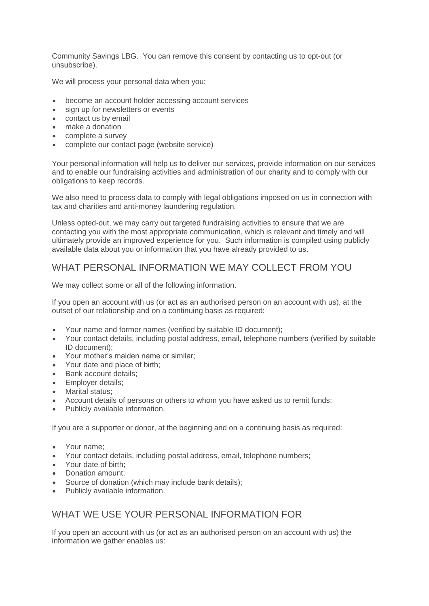Community Savings LBG. You can remove this consent by contacting us to opt-out (or unsubscribe).

We will process your personal data when you:

- become an account holder accessing account services
- sign up for newsletters or events
- contact us by email
- make a donation
- complete a survey
- complete our contact page (website service)

Your personal information will help us to deliver our services, provide information on our services and to enable our fundraising activities and administration of our charity and to comply with our obligations to keep records.

We also need to process data to comply with legal obligations imposed on us in connection with tax and charities and anti-money laundering regulation.

Unless opted-out, we may carry out targeted fundraising activities to ensure that we are contacting you with the most appropriate communication, which is relevant and timely and will ultimately provide an improved experience for you. Such information is compiled using publicly available data about you or information that you have already provided to us.

### WHAT PERSONAL INFORMATION WE MAY COLLECT FROM YOU

We may collect some or all of the following information.

If you open an account with us (or act as an authorised person on an account with us), at the outset of our relationship and on a continuing basis as required:

- Your name and former names (verified by suitable ID document);
- Your contact details, including postal address, email, telephone numbers (verified by suitable ID document);
- Your mother's maiden name or similar;
- Your date and place of birth;
- Bank account details:
- Employer details:
- Marital status;
- Account details of persons or others to whom you have asked us to remit funds;
- Publicly available information.

If you are a supporter or donor, at the beginning and on a continuing basis as required:

- Your name:
- Your contact details, including postal address, email, telephone numbers;
- Your date of birth;
- Donation amount;
- Source of donation (which may include bank details);
- Publicly available information.

## WHAT WE USE YOUR PERSONAL INFORMATION FOR

If you open an account with us (or act as an authorised person on an account with us) the information we gather enables us: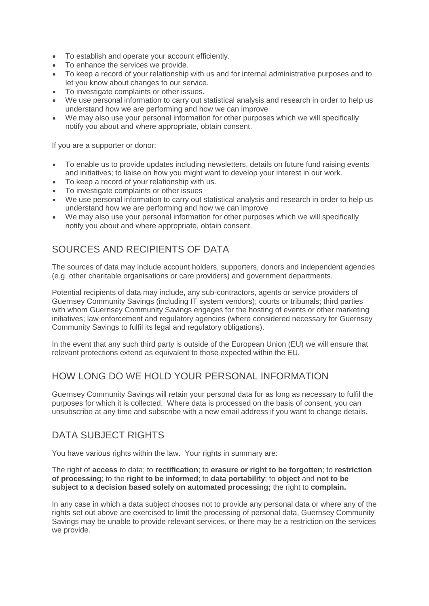- To establish and operate your account efficiently.
- To enhance the services we provide.
- To keep a record of your relationship with us and for internal administrative purposes and to let you know about changes to our service.
- To investigate complaints or other issues.
- We use personal information to carry out statistical analysis and research in order to help us understand how we are performing and how we can improve
- We may also use your personal information for other purposes which we will specifically notify you about and where appropriate, obtain consent.

If you are a supporter or donor:

- To enable us to provide updates including newsletters, details on future fund raising events and initiatives; to liaise on how you might want to develop your interest in our work.
- To keep a record of your relationship with us.
- To investigate complaints or other issues
- We use personal information to carry out statistical analysis and research in order to help us understand how we are performing and how we can improve
- We may also use your personal information for other purposes which we will specifically notify you about and where appropriate, obtain consent.

# SOURCES AND RECIPIENTS OF DATA

The sources of data may include account holders, supporters, donors and independent agencies (e.g. other charitable organisations or care providers) and government departments.

Potential recipients of data may include, any sub-contractors, agents or service providers of Guernsey Community Savings (including IT system vendors); courts or tribunals; third parties with whom Guernsey Community Savings engages for the hosting of events or other marketing initiatives; law enforcement and regulatory agencies (where considered necessary for Guernsey Community Savings to fulfil its legal and regulatory obligations).

In the event that any such third party is outside of the European Union (EU) we will ensure that relevant protections extend as equivalent to those expected within the EU.

## HOW LONG DO WE HOLD YOUR PERSONAL INFORMATION

Guernsey Community Savings will retain your personal data for as long as necessary to fulfil the purposes for which it is collected. Where data is processed on the basis of consent, you can unsubscribe at any time and subscribe with a new email address if you want to change details.

## DATA SUBJECT RIGHTS

You have various rights within the law. Your rights in summary are:

The right of **access** to data; to **rectification**; to **erasure or right to be forgotten**; to **restriction of processing**; to the **right to be informed**; to **data portability**; to **object** and **not to be subject to a decision based solely on automated processing;** the right to **complain.**

In any case in which a data subject chooses not to provide any personal data or where any of the rights set out above are exercised to limit the processing of personal data, Guernsey Community Savings may be unable to provide relevant services, or there may be a restriction on the services we provide.